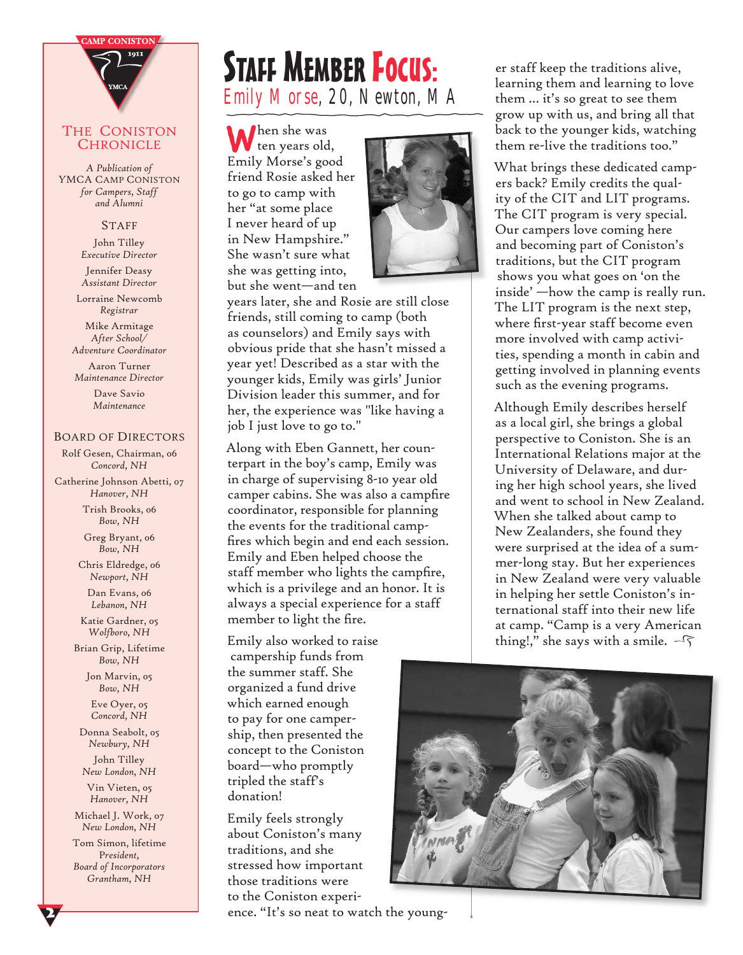

#### THE CONISTON **CHRONICLE**

*A Publication of Y*MCA CAMP CONISTON *for Campers, Staff and Alumni*

#### **STAFF**

John Tilley *Executive Director*

Jennifer Deasy *Assistant Director*

Lorraine Newcomb *Registrar*

Mike Armitage *After School/ Adventure Coordinator*

Aaron Turner *Maintenance Director*

> Dave Savio *Maintenance*

### BOARD OF DIRECTORS

Rolf Gesen, Chairman, 06 *Concord, NH*

Catherine Johnson Abetti, 07 *Hanover, NH*

> Trish Brooks, 06 *Bow, NH*

Greg Bryant, 06 *Bow, NH*

Chris Eldredge, 06 *Newport, NH*

Dan Evans, 06 *Lebanon, NH*

Katie Gardner, 05 *Wolfboro, NH*

Brian Grip, Lifetime *Bow, NH*

> Jon Marvin, 05 *Bow, NH*

Eve Oyer, 05 *Concord, NH*

Donna Seabolt, 05 *Newbury, NH* John Tilley *New London, NH*

Vin Vieten, 05 *Hanover, NH*

Michael J. Work, 07 *New London, NH*

Tom Simon, lifetime P*resident, Board of Incorporators Grantham, NH*

 $\overline{\mathbf{z}}$ 

# STAFF MEMBER FOCUS: Emily Morse, 20, Newton, MA

**W**hen she was ten years old, Emily Morse's good friend Rosie asked her to go to camp with her "at some place I never heard of up in New Hampshire." She wasn't sure what she was getting into, but she went—and ten



years later, she and Rosie are still close friends, still coming to camp (both as counselors) and Emily says with obvious pride that she hasn't missed a year yet! Described as a star with the younger kids, Emily was girls' Junior Division leader this summer, and for her, the experience was "like having a job I just love to go to."

Along with Eben Gannett, her counterpart in the boy's camp, Emily was in charge of supervising 8-10 year old camper cabins. She was also a campfire coordinator, responsible for planning the events for the traditional campfires which begin and end each session. Emily and Eben helped choose the staff member who lights the campfire, which is a privilege and an honor. It is always a special experience for a staff member to light the fire.

Emily also worked to raise campership funds from the summer staff. She organized a fund drive which earned enough to pay for one campership, then presented the concept to the Coniston board—who promptly tripled the staff's donation!

Emily feels strongly about Coniston's many traditions, and she stressed how important those traditions were to the Coniston experi-

ence. "It's so neat to watch the young-

er staff keep the traditions alive, learning them and learning to love them … it's so great to see them grow up with us, and bring all that back to the younger kids, watching them re-live the traditions too."

What brings these dedicated campers back? Emily credits the quality of the CIT and LIT programs. The CIT program is very special. Our campers love coming here and becoming part of Coniston's traditions, but the CIT program shows you what goes on 'on the inside' —how the camp is really run. The LIT program is the next step, where first-year staff become even more involved with camp activities, spending a month in cabin and getting involved in planning events such as the evening programs.

Although Emily describes herself as a local girl, she brings a global perspective to Coniston. She is an International Relations major at the University of Delaware, and during her high school years, she lived and went to school in New Zealand. When she talked about camp to New Zealanders, she found they were surprised at the idea of a summer-long stay. But her experiences in New Zealand were very valuable in helping her settle Coniston's international staff into their new life at camp. "Camp is a very American thing!," she says with a smile.  $-\sqrt{2}$ 

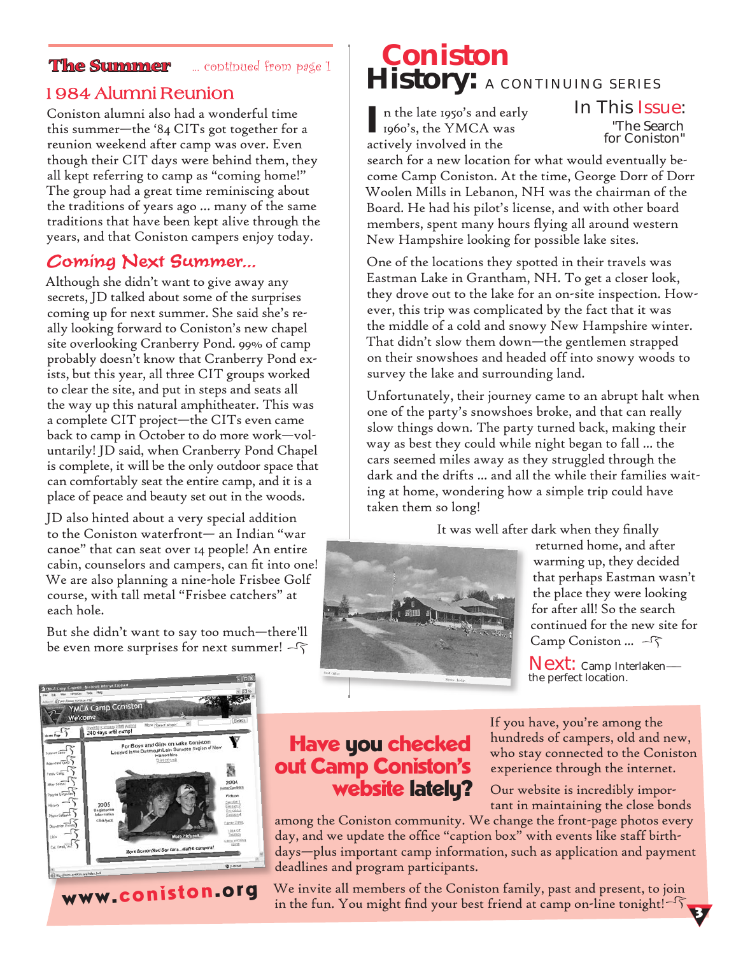**The Summer** ... continued from page 1

Coniston alumni also had a wonderful time this summer—the '84 CITs got together for a reunion weekend after camp was over. Even though their CIT days were behind them, they all kept referring to camp as "coming home!" The group had a great time reminiscing about the traditions of years ago … many of the same traditions that have been kept alive through the years, and that Coniston campers enjoy today.

### Coming Next Summer...

Although she didn't want to give away any secrets, JD talked about some of the surprises coming up for next summer. She said she's really looking forward to Coniston's new chapel site overlooking Cranberry Pond. 99% of camp probably doesn't know that Cranberry Pond exists, but this year, all three CIT groups worked to clear the site, and put in steps and seats all the way up this natural amphitheater. This was a complete CIT project—the CITs even came back to camp in October to do more work—voluntarily! JD said, when Cranberry Pond Chapel is complete, it will be the only outdoor space that can comfortably seat the entire camp, and it is a place of peace and beauty set out in the woods.

JD also hinted about a very special addition to the Coniston waterfront— an Indian "war canoe" that can seat over 14 people! An entire cabin, counselors and campers, can fit into one! We are also planning a nine-hole Frisbee Golf course, with tall metal "Frisbee catchers" at each hole.

But she didn't want to say too much—there'll be even more surprises for next summer!  $-\sqrt{2}$ 

# **Coniston The Summer** a coptipued from page 1 **History:** A CONTINUING SERIES

**I** n the late 1950's and early 1960's, the YMCA was actively involved in the

In This Issue: "The Search for Coniston"

search for a new location for what would eventually become Camp Coniston. At the time, George Dorr of Dorr Woolen Mills in Lebanon, NH was the chairman of the Board. He had his pilot's license, and with other board members, spent many hours flying all around western New Hampshire looking for possible lake sites.

One of the locations they spotted in their travels was Eastman Lake in Grantham, NH. To get a closer look, they drove out to the lake for an on-site inspection. However, this trip was complicated by the fact that it was the middle of a cold and snowy New Hampshire winter. That didn't slow them down—the gentlemen strapped on their snowshoes and headed off into snowy woods to survey the lake and surrounding land.

Unfortunately, their journey came to an abrupt halt when one of the party's snowshoes broke, and that can really slow things down. The party turned back, making their way as best they could while night began to fall ... the cars seemed miles away as they struggled through the dark and the drifts ... and all the while their families waiting at home, wondering how a simple trip could have taken them so long!

It was well after dark when they finally



returned home, and after warming up, they decided that perhaps Eastman wasn't the place they were looking for after all! So the search continued for the new site for Camp Coniston ...  $-\sqrt{2}$ 

Next: Camp Interlaken the perfect location.



www.coniston.org

## Have you checked out Camp Coniston's website latelu?

If you have, you're among the hundreds of campers, old and new, who stay connected to the Coniston experience through the internet.

Our website is incredibly important in maintaining the close bonds

3

among the Coniston community. We change the front-page photos every day, and we update the office "caption box" with events like staff birthdays—plus important camp information, such as application and payment deadlines and program participants.

We invite all members of the Coniston family, past and present, to join in the fun. You might find your best friend at camp on-line tonight! $-\sqrt{2}$ ,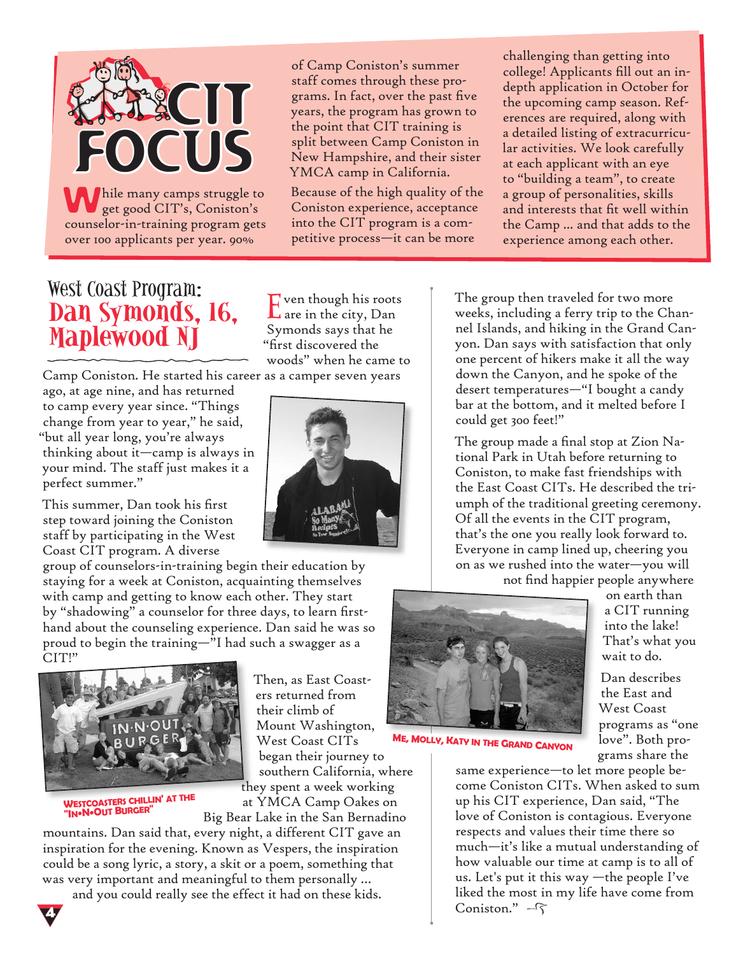

of Camp Coniston's summer staff comes through these programs. In fact, over the past five years, the program has grown to the point that CIT training is split between Camp Coniston in New Hampshire, and their sister YMCA camp in California.

Because of the high quality of the Coniston experience, acceptance into the CIT program is a competitive process—it can be more

challenging than getting into college! Applicants fill out an indepth application in October for the upcoming camp season. References are required, along with a detailed listing of extracurricular activities. We look carefully at each applicant with an eye to "building a team", to create a group of personalities, skills and interests that fit well within the Camp ... and that adds to the experience among each other.

## West Coast Program: **Dan Symonds, 16, Maplewood NJ**

Camp Coniston. He started his career as a camper seven years ago, at age nine, and has returned

to camp every year since. "Things change from year to year," he said, "but all year long, you're always thinking about it—camp is always in your mind. The staff just makes it a perfect summer."

This summer, Dan took his first step toward joining the Coniston staff by participating in the West Coast CIT program. A diverse

group of counselors-in-training begin their education by staying for a week at Coniston, acquainting themselves with camp and getting to know each other. They start by "shadowing" a counselor for three days, to learn firsthand about the counseling experience. Dan said he was so proud to begin the training—"I had such a swagger as a CIT!"



**<sup>W</sup>ESTCOASTERS CHILLIN' AT THE "IN•N•OUT BURGER"**

Then, as East Coasters returned from their climb of Mount Washington, West Coast CITs began their journey to southern California, where they spent a week working

at YMCA Camp Oakes on Big Bear Lake in the San Bernadino

mountains. Dan said that, every night, a different CIT gave an inspiration for the evening. Known as Vespers, the inspiration could be a song lyric, a story, a skit or a poem, something that was very important and meaningful to them personally …

and you could really see the effect it had on these kids.

Even though his roots are in the city, Dan Symonds says that he "first discovered the woods" when he came to



The group then traveled for two more weeks, including a ferry trip to the Channel Islands, and hiking in the Grand Canyon. Dan says with satisfaction that only one percent of hikers make it all the way down the Canyon, and he spoke of the desert temperatures—"I bought a candy bar at the bottom, and it melted before I could get 300 feet!"

The group made a final stop at Zion National Park in Utah before returning to Coniston, to make fast friendships with the East Coast CITs. He described the triumph of the traditional greeting ceremony. Of all the events in the CIT program, that's the one you really look forward to. Everyone in camp lined up, cheering you on as we rushed into the water—you will

not find happier people anywhere



**<sup>M</sup>E, MOLLY, KATY IN THE GRAND CANYON**

on earth than a CIT running into the lake! That's what you wait to do.

Dan describes the East and West Coast programs as "one love". Both programs share the

same experience—to let more people become Coniston CITs. When asked to sum up his CIT experience, Dan said, "The love of Coniston is contagious. Everyone respects and values their time there so much—it's like a mutual understanding of how valuable our time at camp is to all of us. Let's put it this way —the people I've liked the most in my life have come from Coniston."  $-\sqrt{2}$ 

4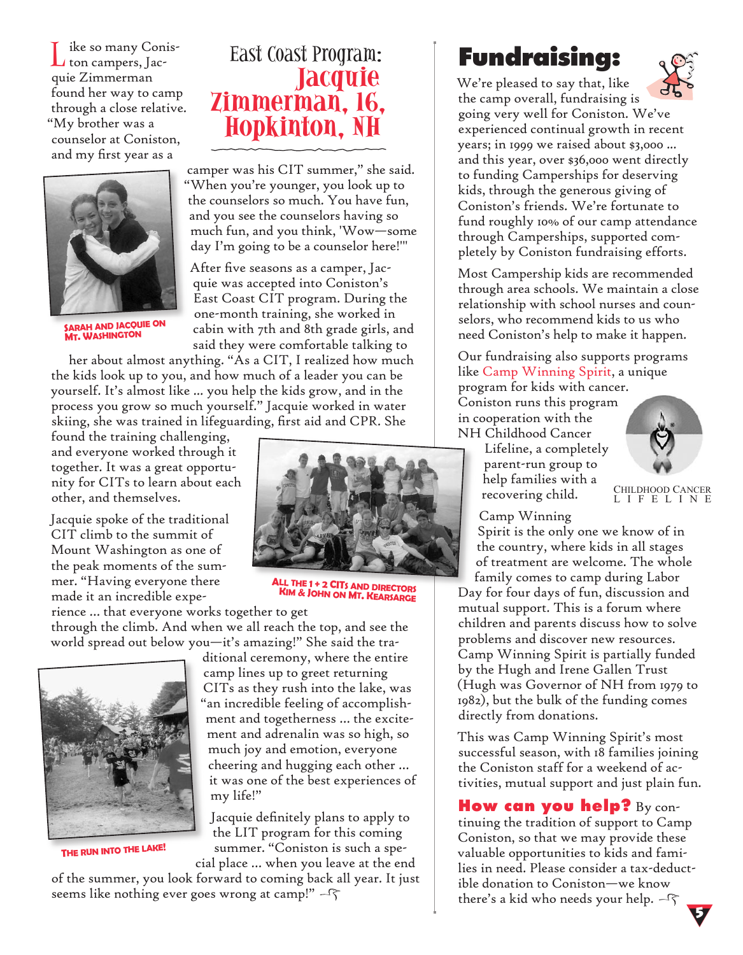ike so many Coniston campers, Jacquie Zimmerman found her way to camp through a close relative. "My brother was a counselor at Coniston, and my first year as a



**<sup>S</sup>ARAH AND JACQUIE ON MT. WASHINGTON**

# East Coast Program:<br>**Jacquie** Zimmerman, 16, **Hopkinton, NH**

camper was his CIT summer," she said. "When you're younger, you look up to the counselors so much. You have fun, and you see the counselors having so much fun, and you think, 'Wow—some day I'm going to be a counselor here!'"

After five seasons as a camper, Jacquie was accepted into Coniston's East Coast CIT program. During the one-month training, she worked in cabin with 7th and 8th grade girls, and said they were comfortable talking to

her about almost anything. "As a CIT, I realized how much the kids look up to you, and how much of a leader you can be yourself. It's almost like ... you help the kids grow, and in the process you grow so much yourself." Jacquie worked in water skiing, she was trained in lifeguarding, first aid and CPR. She

found the training challenging, and everyone worked through it together. It was a great opportunity for CITs to learn about each other, and themselves.

Jacquie spoke of the traditional CIT climb to the summit of Mount Washington as one of the peak moments of the summer. "Having everyone there made it an incredible expe-

rience … that everyone works together to get through the climb. And when we all reach the top, and see the world spread out below you—it's amazing!" She said the tra-



**<sup>T</sup>HE RUN INTO THE LAKE!**

ditional ceremony, where the entire camp lines up to greet returning CITs as they rush into the lake, was "an incredible feeling of accomplishment and togetherness … the excitement and adrenalin was so high, so much joy and emotion, everyone cheering and hugging each other … it was one of the best experiences of my life!"

Jacquie definitely plans to apply to the LIT program for this coming summer. "Coniston is such a special place … when you leave at the end

of the summer, you look forward to coming back all year. It just seems like nothing ever goes wrong at camp!"  $-\sqrt{2}$ 



**<sup>A</sup>LL THE 1 + 2 CIT<sup>S</sup> AND DIRECTORS <sup>K</sup>IM & JOHN ON MT. KEARSARGE**

# **Fundraising:**

We're pleased to say that, like



the camp overall, fundraising is going very well for Coniston. We've experienced continual growth in recent years; in 1999 we raised about \$3,000 ... and this year, over \$36,000 went directly to funding Camperships for deserving kids, through the generous giving of Coniston's friends. We're fortunate to fund roughly 10% of our camp attendance through Camperships, supported completely by Coniston fundraising efforts.

Most Campership kids are recommended through area schools. We maintain a close relationship with school nurses and counselors, who recommend kids to us who need Coniston's help to make it happen.

Our fundraising also supports programs like Camp Winning Spirit, a unique

program for kids with cancer. Coniston runs this program in cooperation with the NH Childhood Cancer

> Lifeline, a completely parent-run group to help families with a recovering child.



CHILDHOOD CANCER L I F E L I N E

Camp Winning

Spirit is the only one we know of in the country, where kids in all stages of treatment are welcome. The whole family comes to camp during Labor

Day for four days of fun, discussion and mutual support. This is a forum where children and parents discuss how to solve problems and discover new resources. Camp Winning Spirit is partially funded by the Hugh and Irene Gallen Trust (Hugh was Governor of NH from 1979 to 1982), but the bulk of the funding comes directly from donations.

This was Camp Winning Spirit's most successful season, with 18 families joining the Coniston staff for a weekend of activities, mutual support and just plain fun.

**How can you help?** By continuing the tradition of support to Camp Coniston, so that we may provide these valuable opportunities to kids and families in need. Please consider a tax-deductible donation to Coniston—we know there's a kid who needs your help.  $-\widehat{\varsigma}$ 5